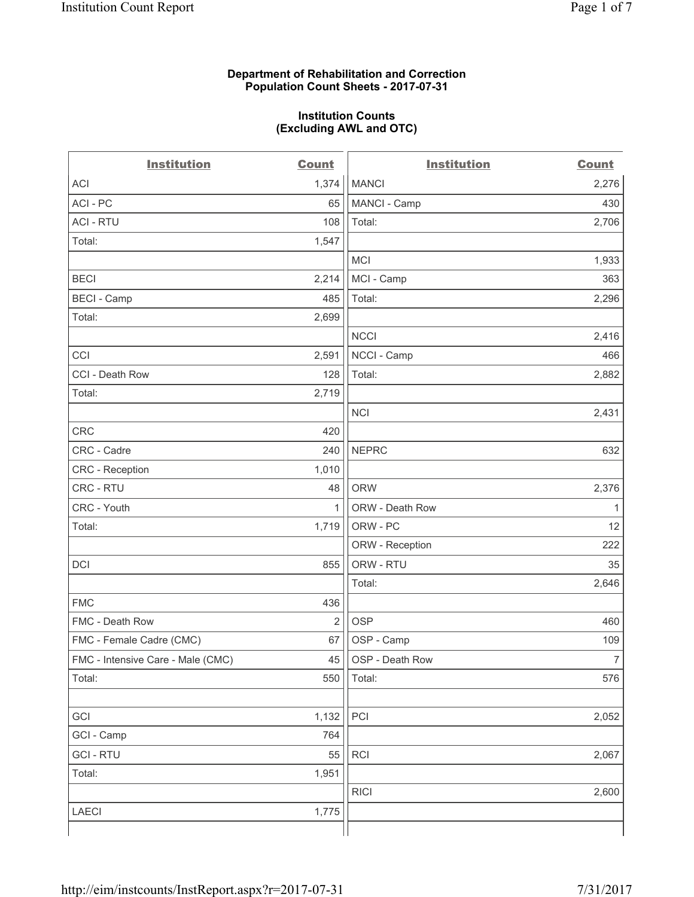#### **Department of Rehabilitation and Correction Population Count Sheets - 2017-07-31**

#### **Institution Counts (Excluding AWL and OTC)**

 $-$ 

| <b>Institution</b>                | <b>Count</b>   | <b>Institution</b> | <b>Count</b>   |
|-----------------------------------|----------------|--------------------|----------------|
| ACI                               | 1,374          | <b>MANCI</b>       | 2,276          |
| ACI - PC                          | 65             | MANCI - Camp       | 430            |
| <b>ACI - RTU</b>                  | 108            | Total:             | 2,706          |
| Total:                            | 1,547          |                    |                |
|                                   |                | <b>MCI</b>         | 1,933          |
| <b>BECI</b>                       | 2,214          | MCI - Camp         | 363            |
| <b>BECI</b> - Camp                | 485            | Total:             | 2,296          |
| Total:                            | 2,699          |                    |                |
|                                   |                | <b>NCCI</b>        | 2,416          |
| CCI                               | 2,591          | NCCI - Camp        | 466            |
| CCI - Death Row                   | 128            | Total:             | 2,882          |
| Total:                            | 2,719          |                    |                |
|                                   |                | <b>NCI</b>         | 2,431          |
| <b>CRC</b>                        | 420            |                    |                |
| CRC - Cadre                       | 240            | <b>NEPRC</b>       | 632            |
| CRC - Reception                   | 1,010          |                    |                |
| CRC - RTU                         | 48             | <b>ORW</b>         | 2,376          |
| CRC - Youth                       | $\mathbf{1}$   | ORW - Death Row    | 1              |
| Total:                            | 1,719          | ORW - PC           | 12             |
|                                   |                | ORW - Reception    | 222            |
| DCI                               | 855            | ORW - RTU          | 35             |
|                                   |                | Total:             | 2,646          |
| <b>FMC</b>                        | 436            |                    |                |
| FMC - Death Row                   | $\overline{2}$ | <b>OSP</b>         | 460            |
| FMC - Female Cadre (CMC)          | 67             | OSP - Camp         | 109            |
| FMC - Intensive Care - Male (CMC) | 45             | OSP - Death Row    | $\overline{7}$ |
| Total:                            | 550            | Total:             | 576            |
|                                   |                |                    |                |
| GCI                               | 1,132          | PCI                | 2,052          |
| GCI - Camp                        | 764            |                    |                |
| <b>GCI - RTU</b>                  | 55             | RCI                | 2,067          |
| Total:                            | 1,951          |                    |                |
|                                   |                | <b>RICI</b>        | 2,600          |
| LAECI                             | 1,775          |                    |                |
|                                   |                |                    |                |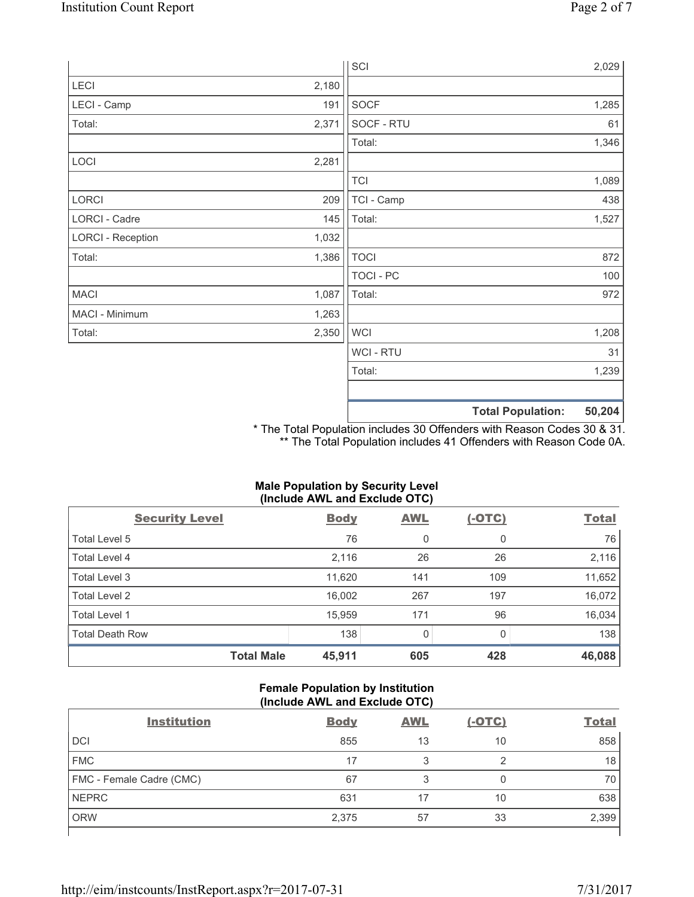|                          |       | SCI            | 2,029                              |
|--------------------------|-------|----------------|------------------------------------|
| LECI                     | 2,180 |                |                                    |
| LECI - Camp              | 191   | SOCF           | 1,285                              |
| Total:                   | 2,371 | SOCF - RTU     | 61                                 |
|                          |       | Total:         | 1,346                              |
| LOCI                     | 2,281 |                |                                    |
|                          |       | <b>TCI</b>     | 1,089                              |
| LORCI                    | 209   | TCI - Camp     | 438                                |
| LORCI - Cadre            | 145   | Total:         | 1,527                              |
| <b>LORCI - Reception</b> | 1,032 |                |                                    |
| Total:                   | 1,386 | <b>TOCI</b>    | 872                                |
|                          |       | TOCI - PC      | 100                                |
| <b>MACI</b>              | 1,087 | Total:         | 972                                |
| MACI - Minimum           | 1,263 |                |                                    |
| Total:                   | 2,350 | <b>WCI</b>     | 1,208                              |
|                          |       | <b>WCI-RTU</b> | 31                                 |
|                          |       | Total:         | 1,239                              |
|                          |       |                | 50,204<br><b>Total Population:</b> |

\* The Total Population includes 30 Offenders with Reason Codes 30 & 31. \*\* The Total Population includes 41 Offenders with Reason Code 0A.

# **Male Population by Security Level (Include AWL and Exclude OTC)**

| $\mathbf{v}$<br><b>Security Level</b> | <b>Body</b> | <b>AWL</b> | $\mathbf{r}$<br>$(-OTC)$ | <b>Total</b> |
|---------------------------------------|-------------|------------|--------------------------|--------------|
| Total Level 5                         | 76          | 0          | 0                        | 76           |
| Total Level 4                         | 2,116       | 26         | 26                       | 2,116        |
| Total Level 3                         | 11,620      | 141        | 109                      | 11,652       |
| Total Level 2                         | 16,002      | 267        | 197                      | 16,072       |
| <b>Total Level 1</b>                  | 15,959      | 171        | 96                       | 16,034       |
| <b>Total Death Row</b>                | 138         | $\Omega$   | <sup>0</sup>             | 138          |
| <b>Total Male</b>                     | 45,911      | 605        | 428                      | 46,088       |

# **Female Population by Institution (Include AWL and Exclude OTC)**

| <b>Institution</b>       | <b>Body</b> | <b>AWL</b> | <u>(-OTC)</u> | <b>Total</b> |
|--------------------------|-------------|------------|---------------|--------------|
| <b>DCI</b>               | 855         | 13         | 10            | 858          |
| <b>FMC</b>               | 17          | 3          |               | 18           |
| FMC - Female Cadre (CMC) | 67          | 2          |               | 70           |
| <b>NEPRC</b>             | 631         |            | 10            | 638          |
| <b>ORW</b>               | 2,375       | 57         | 33            | 2,399        |
|                          |             |            |               |              |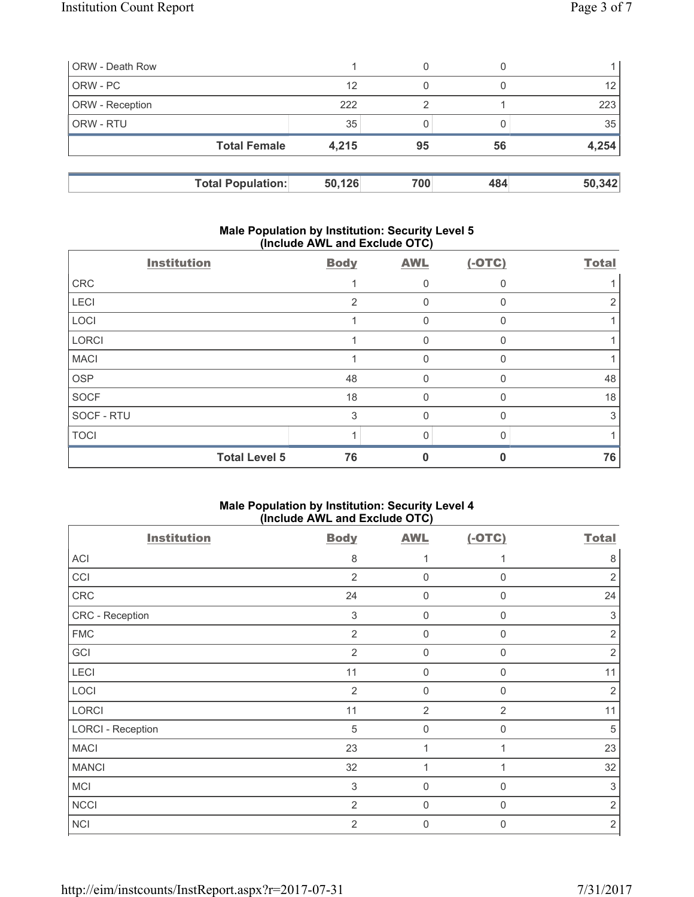| <b>ORW</b> - Death Row |                          |        | 0   |     |        |
|------------------------|--------------------------|--------|-----|-----|--------|
| ORW - PC               |                          | 12     | 0   |     | 12     |
| <b>ORW</b> - Reception |                          | 222    | っ   |     | 223    |
| l ORW - RTU            |                          | 35     |     |     | 35     |
|                        | <b>Total Female</b>      | 4,215  | 95  | 56  | 4,254  |
|                        |                          |        |     |     |        |
|                        | <b>Total Population:</b> | 50,126 | 700 | 484 | 50,342 |

# **Male Population by Institution: Security Level 5 (Include AWL and Exclude OTC)**

| <b>Institution</b> |                      | <b>Body</b> | <b>AWL</b>   | $(-OTC)$ | <b>Total</b> |
|--------------------|----------------------|-------------|--------------|----------|--------------|
| CRC                |                      |             | 0            |          |              |
| LECI               |                      | 2           | $\mathbf 0$  | 0        | 2            |
| LOCI               |                      |             | $\mathbf{0}$ | O        |              |
| <b>LORCI</b>       |                      |             | 0            |          |              |
| <b>MACI</b>        |                      |             | $\mathbf{0}$ |          |              |
| <b>OSP</b>         |                      | 48          | $\mathbf 0$  | 0        | 48           |
| <b>SOCF</b>        |                      | 18          | 0            | U        | 18           |
| SOCF - RTU         |                      | 3           | 0            | 0        | 3            |
| <b>TOCI</b>        |                      |             | 0            |          |              |
|                    | <b>Total Level 5</b> | 76          |              |          | 76           |

# **Male Population by Institution: Security Level 4 (Include AWL and Exclude OTC)**

| <b>Institution</b>       | <b>Body</b>               | <b>AWL</b>     | $(-OTC)$       | <b>Total</b>   |
|--------------------------|---------------------------|----------------|----------------|----------------|
| ACI                      | 8                         | 1              | $\mathbf{1}$   | 8              |
| CCI                      | $\overline{2}$            | $\mathbf 0$    | $\mathbf 0$    | $\overline{2}$ |
| CRC                      | 24                        | $\mathbf 0$    | $\mathbf 0$    | 24             |
| CRC - Reception          | 3                         | $\mathbf 0$    | $\mathbf 0$    | 3              |
| <b>FMC</b>               | $\overline{2}$            | $\mathbf 0$    | $\mathbf 0$    | $\overline{2}$ |
| GCI                      | $\overline{2}$            | $\mathbf 0$    | $\mathbf 0$    | $\overline{2}$ |
| LECI                     | 11                        | $\mathbf 0$    | $\mathbf 0$    | 11             |
| LOCI                     | $\overline{2}$            | $\mathbf 0$    | $\mathbf 0$    | $\overline{2}$ |
| LORCI                    | 11                        | $\overline{2}$ | $\overline{2}$ | 11             |
| <b>LORCI - Reception</b> | $\sqrt{5}$                | $\mathbf 0$    | 0              | 5              |
| <b>MACI</b>              | 23                        | 1              | 1              | 23             |
| <b>MANCI</b>             | 32                        | 1              | 1              | 32             |
| <b>MCI</b>               | $\ensuremath{\mathsf{3}}$ | $\mathbf 0$    | $\mathbf 0$    | $\sqrt{3}$     |
| <b>NCCI</b>              | $\overline{2}$            | $\mathbf 0$    | $\mathbf 0$    | $\overline{2}$ |
| <b>NCI</b>               | $\overline{2}$            | $\mathbf 0$    | $\mathbf 0$    | $\overline{2}$ |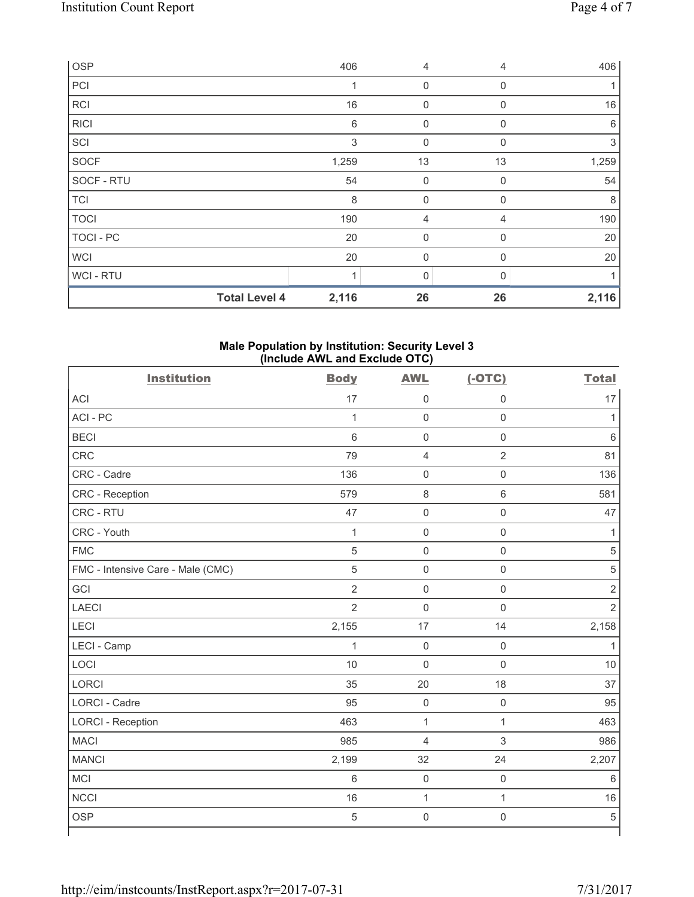| <b>OSP</b>           | 406   | 4           | 4           | 406   |
|----------------------|-------|-------------|-------------|-------|
| PCI                  |       | $\mathbf 0$ | $\mathbf 0$ |       |
| RCI                  | 16    | 0           | $\mathbf 0$ | 16    |
| <b>RICI</b>          | 6     | 0           | $\Omega$    | 6     |
| SCI                  | 3     | 0           | $\Omega$    | 3     |
| SOCF                 | 1,259 | 13          | 13          | 1,259 |
| SOCF - RTU           | 54    | 0           | $\mathbf 0$ | 54    |
| <b>TCI</b>           | 8     | $\mathbf 0$ | $\mathbf 0$ | 8     |
| <b>TOCI</b>          | 190   | 4           | 4           | 190   |
| TOCI - PC            | 20    | 0           | $\Omega$    | 20    |
| <b>WCI</b>           | 20    | 0           | $\Omega$    | 20    |
| WCI - RTU            |       | $\Omega$    |             |       |
| <b>Total Level 4</b> | 2,116 | 26          | 26          | 2,116 |

#### **Male Population by Institution: Security Level 3 (Include AWL and Exclude OTC)**

| <b>Institution</b>                | <b>Body</b>    | <b>AWL</b>          | $(-OTC)$            | <b>Total</b>   |
|-----------------------------------|----------------|---------------------|---------------------|----------------|
| <b>ACI</b>                        | 17             | $\mathsf{O}\xspace$ | $\mathbf 0$         | 17             |
| ACI-PC                            | $\mathbf{1}$   | $\mathsf 0$         | $\mathsf{O}\xspace$ | $\mathbf{1}$   |
| <b>BECI</b>                       | $6\phantom{1}$ | $\mathsf{O}\xspace$ | $\mathsf{O}\xspace$ | $\,6$          |
| CRC                               | 79             | $\overline{4}$      | $\overline{2}$      | 81             |
| CRC - Cadre                       | 136            | $\mathsf{O}\xspace$ | $\mathsf 0$         | 136            |
| CRC - Reception                   | 579            | $\,8\,$             | $\,6\,$             | 581            |
| CRC - RTU                         | 47             | $\mathsf{O}\xspace$ | $\mathsf{O}\xspace$ | 47             |
| CRC - Youth                       | $\mathbf 1$    | $\mathsf{O}\xspace$ | $\mathsf{O}\xspace$ | 1              |
| <b>FMC</b>                        | 5              | $\mathsf{O}\xspace$ | $\mathsf{O}\xspace$ | 5              |
| FMC - Intensive Care - Male (CMC) | $\sqrt{5}$     | $\mathsf{O}\xspace$ | $\mathsf{O}\xspace$ | $\sqrt{5}$     |
| GCI                               | $\overline{2}$ | $\mathbf 0$         | $\mathsf{O}\xspace$ | $\sqrt{2}$     |
| <b>LAECI</b>                      | $\overline{2}$ | $\mathbf 0$         | $\mathsf 0$         | $\overline{2}$ |
| LECI                              | 2,155          | 17                  | 14                  | 2,158          |
| LECI - Camp                       | 1              | $\mathsf 0$         | $\mathsf{O}\xspace$ | 1              |
| LOCI                              | 10             | $\mathbf 0$         | $\mathsf 0$         | 10             |
| <b>LORCI</b>                      | 35             | 20                  | 18                  | 37             |
| <b>LORCI - Cadre</b>              | 95             | $\mathbf 0$         | $\mathsf{O}\xspace$ | 95             |
| <b>LORCI - Reception</b>          | 463            | $\mathbf{1}$        | $\mathbf{1}$        | 463            |
| <b>MACI</b>                       | 985            | 4                   | 3                   | 986            |
| <b>MANCI</b>                      | 2,199          | 32                  | 24                  | 2,207          |
| <b>MCI</b>                        | 6              | $\mathbf 0$         | $\mathsf 0$         | $\,6$          |
| <b>NCCI</b>                       | 16             | $\mathbf{1}$        | $\mathbf{1}$        | 16             |
| <b>OSP</b>                        | $\overline{5}$ | $\mathbf 0$         | $\mathsf{O}\xspace$ | 5              |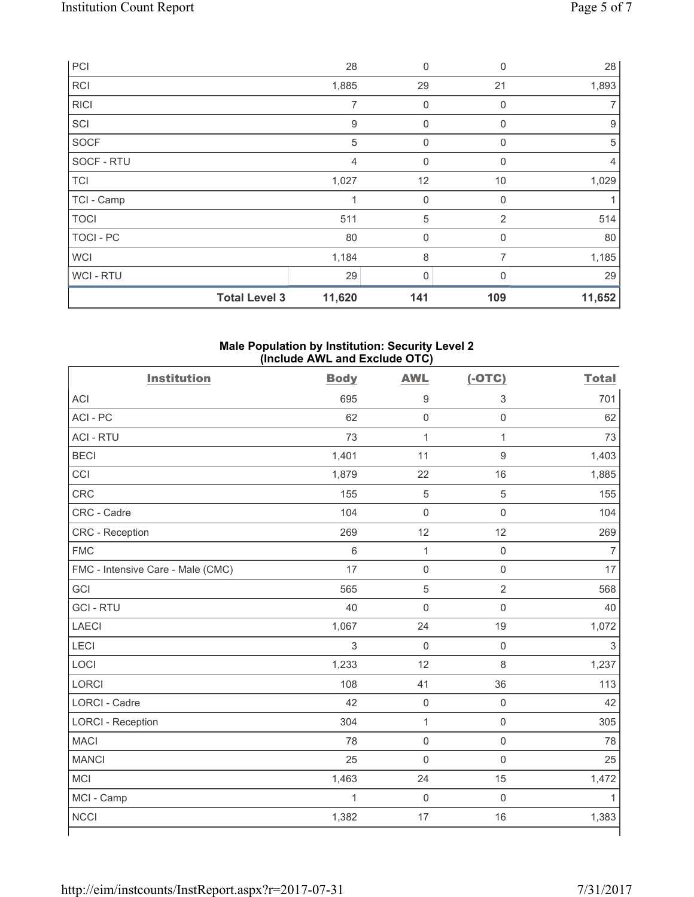| PCI              |                      | 28             | $\mathbf 0$  | 0              | 28             |
|------------------|----------------------|----------------|--------------|----------------|----------------|
| RCI              |                      | 1,885          | 29           | 21             | 1,893          |
| <b>RICI</b>      |                      | 7              | 0            | 0              | 7              |
| SCI              |                      | $9\,$          | 0            | $\mathbf{0}$   | 9              |
| SOCF             |                      | 5              | 0            | $\Omega$       | 5              |
| SOCF - RTU       |                      | $\overline{4}$ | $\mathbf 0$  | $\Omega$       | $\overline{4}$ |
| <b>TCI</b>       |                      | 1,027          | 12           | 10             | 1,029          |
| TCI - Camp       |                      |                | $\pmb{0}$    | $\mathbf 0$    |                |
| <b>TOCI</b>      |                      | 511            | 5            | $\overline{2}$ | 514            |
| <b>TOCI - PC</b> |                      | 80             | $\mathbf 0$  | 0              | 80             |
| <b>WCI</b>       |                      | 1,184          | 8            | 7              | 1,185          |
| WCI - RTU        |                      | 29             | $\mathbf{0}$ | U              | 29             |
|                  | <b>Total Level 3</b> | 11,620         | 141          | 109            | 11,652         |

# **Male Population by Institution: Security Level 2 (Include AWL and Exclude OTC)**

| <b>Institution</b>                | <b>Body</b>  | <b>AWL</b>          | $(-OTC)$            | <b>Total</b> |
|-----------------------------------|--------------|---------------------|---------------------|--------------|
| <b>ACI</b>                        | 695          | $\boldsymbol{9}$    | $\,$ 3 $\,$         | 701          |
| ACI-PC                            | 62           | $\mathsf 0$         | $\mathsf{O}\xspace$ | 62           |
| <b>ACI - RTU</b>                  | 73           | $\mathbf 1$         | $\mathbf{1}$        | 73           |
| <b>BECI</b>                       | 1,401        | 11                  | $\mathsf g$         | 1,403        |
| CCI                               | 1,879        | 22                  | 16                  | 1,885        |
| <b>CRC</b>                        | 155          | $\sqrt{5}$          | 5                   | 155          |
| CRC - Cadre                       | 104          | $\mathbf 0$         | $\mathsf 0$         | 104          |
| <b>CRC</b> - Reception            | 269          | 12                  | 12                  | 269          |
| <b>FMC</b>                        | 6            | 1                   | $\mathsf 0$         | 7            |
| FMC - Intensive Care - Male (CMC) | 17           | $\mathsf{O}\xspace$ | $\mathsf{O}\xspace$ | 17           |
| GCI                               | 565          | 5                   | $\overline{2}$      | 568          |
| <b>GCI-RTU</b>                    | 40           | $\mathsf{O}\xspace$ | $\mathsf{O}\xspace$ | 40           |
| <b>LAECI</b>                      | 1,067        | 24                  | 19                  | 1,072        |
| LECI                              | 3            | $\mathbf 0$         | $\mathsf{O}\xspace$ | 3            |
| LOCI                              | 1,233        | 12                  | $\,8\,$             | 1,237        |
| <b>LORCI</b>                      | 108          | 41                  | 36                  | 113          |
| <b>LORCI - Cadre</b>              | 42           | $\mathbf 0$         | $\mathsf{O}\xspace$ | 42           |
| <b>LORCI - Reception</b>          | 304          | $\mathbf{1}$        | $\mathsf{O}\xspace$ | 305          |
| <b>MACI</b>                       | 78           | $\mathbf 0$         | $\mathsf{O}\xspace$ | 78           |
| <b>MANCI</b>                      | 25           | $\mathbf 0$         | $\mathbf 0$         | 25           |
| <b>MCI</b>                        | 1,463        | 24                  | 15                  | 1,472        |
| MCI - Camp                        | $\mathbf{1}$ | $\mathbf 0$         | $\mathbf 0$         | $\mathbf{1}$ |
| <b>NCCI</b>                       | 1,382        | 17                  | 16                  | 1,383        |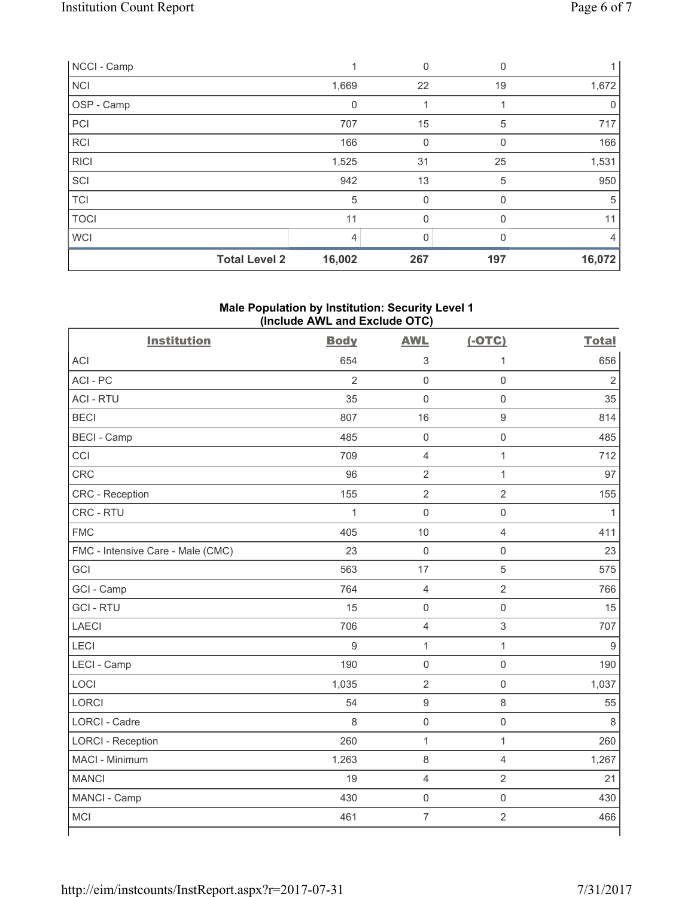| NCCI - Camp          |             | 0   | $\Omega$ |             |
|----------------------|-------------|-----|----------|-------------|
| <b>NCI</b>           | 1,669       | 22  | 19       | 1,672       |
| OSP - Camp           | $\mathbf 0$ |     |          | $\mathbf 0$ |
| PCI                  | 707         | 15  | 5        | 717         |
| RCI                  | 166         | 0   | 0        | 166         |
| <b>RICI</b>          | 1,525       | 31  | 25       | 1,531       |
| SCI                  | 942         | 13  | 5        | 950         |
| <b>TCI</b>           | 5           | 0   | $\Omega$ | 5           |
| <b>TOCI</b>          | 11          | 0   | $\Omega$ | 11          |
| <b>WCI</b>           | 4           |     |          | 4           |
| <b>Total Level 2</b> | 16,002      | 267 | 197      | 16,072      |

# **Male Population by Institution: Security Level 1 (Include AWL and Exclude OTC)**

| <b>Institution</b>                | <b>Body</b>    | <b>AWL</b>          | $(-OTC)$            | <b>Total</b>   |
|-----------------------------------|----------------|---------------------|---------------------|----------------|
| <b>ACI</b>                        | 654            | 3                   | 1                   | 656            |
| ACI-PC                            | $\overline{2}$ | $\mathbf 0$         | $\mathbf 0$         | $\overline{2}$ |
| <b>ACI - RTU</b>                  | 35             | $\mathsf{O}\xspace$ | $\mathbf 0$         | 35             |
| <b>BECI</b>                       | 807            | 16                  | $\boldsymbol{9}$    | 814            |
| <b>BECI - Camp</b>                | 485            | $\mathsf{O}\xspace$ | $\mathbf 0$         | 485            |
| CCI                               | 709            | $\overline{4}$      | $\mathbf{1}$        | 712            |
| CRC                               | 96             | $\overline{2}$      | 1                   | 97             |
| CRC - Reception                   | 155            | $\overline{2}$      | $\sqrt{2}$          | 155            |
| CRC - RTU                         | $\mathbf{1}$   | $\mathsf{O}\xspace$ | $\mathsf 0$         | 1              |
| <b>FMC</b>                        | 405            | 10                  | $\overline{4}$      | 411            |
| FMC - Intensive Care - Male (CMC) | 23             | $\mathbf 0$         | $\mathbf 0$         | 23             |
| GCI                               | 563            | 17                  | $\overline{5}$      | 575            |
| GCI - Camp                        | 764            | $\overline{4}$      | $\sqrt{2}$          | 766            |
| <b>GCI-RTU</b>                    | 15             | $\mathbf 0$         | $\mathsf 0$         | 15             |
| <b>LAECI</b>                      | 706            | $\overline{4}$      | $\mathsf 3$         | 707            |
| <b>LECI</b>                       | 9              | $\mathbf{1}$        | $\mathbf{1}$        | 9              |
| LECI - Camp                       | 190            | $\mathsf{O}\xspace$ | $\mathsf{O}\xspace$ | 190            |
| LOCI                              | 1,035          | $\sqrt{2}$          | $\mathsf 0$         | 1,037          |
| <b>LORCI</b>                      | 54             | $\boldsymbol{9}$    | $\,8\,$             | 55             |
| <b>LORCI - Cadre</b>              | 8              | $\mathbf 0$         | $\mathsf 0$         | 8              |
| <b>LORCI - Reception</b>          | 260            | $\mathbf{1}$        | $\mathbf{1}$        | 260            |
| MACI - Minimum                    | 1,263          | $\,8\,$             | 4                   | 1,267          |
| <b>MANCI</b>                      | 19             | $\overline{4}$      | $\overline{2}$      | 21             |
| MANCI - Camp                      | 430            | $\mathbf 0$         | $\mathbf 0$         | 430            |
| MCI                               | 461            | $\overline{7}$      | $\sqrt{2}$          | 466            |